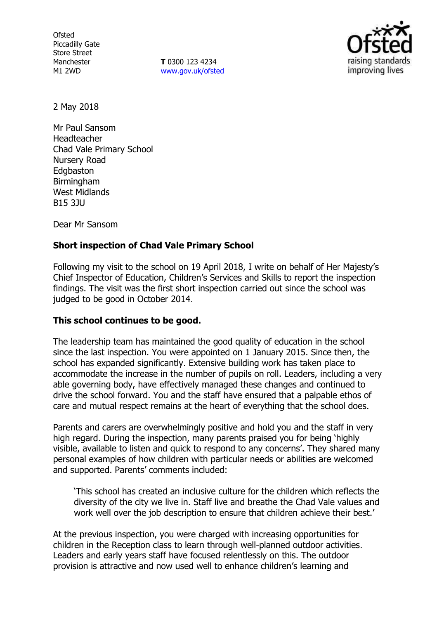**Ofsted** Piccadilly Gate Store Street Manchester M1 2WD

**T** 0300 123 4234 www.gov.uk/ofsted



2 May 2018

Mr Paul Sansom Headteacher Chad Vale Primary School Nursery Road Edgbaston **Birmingham** West Midlands B15 3JU

Dear Mr Sansom

# **Short inspection of Chad Vale Primary School**

Following my visit to the school on 19 April 2018, I write on behalf of Her Majesty's Chief Inspector of Education, Children's Services and Skills to report the inspection findings. The visit was the first short inspection carried out since the school was judged to be good in October 2014.

## **This school continues to be good.**

The leadership team has maintained the good quality of education in the school since the last inspection. You were appointed on 1 January 2015. Since then, the school has expanded significantly. Extensive building work has taken place to accommodate the increase in the number of pupils on roll. Leaders, including a very able governing body, have effectively managed these changes and continued to drive the school forward. You and the staff have ensured that a palpable ethos of care and mutual respect remains at the heart of everything that the school does.

Parents and carers are overwhelmingly positive and hold you and the staff in very high regard. During the inspection, many parents praised you for being 'highly visible, available to listen and quick to respond to any concerns'. They shared many personal examples of how children with particular needs or abilities are welcomed and supported. Parents' comments included:

'This school has created an inclusive culture for the children which reflects the diversity of the city we live in. Staff live and breathe the Chad Vale values and work well over the job description to ensure that children achieve their best.'

At the previous inspection, you were charged with increasing opportunities for children in the Reception class to learn through well-planned outdoor activities. Leaders and early years staff have focused relentlessly on this. The outdoor provision is attractive and now used well to enhance children's learning and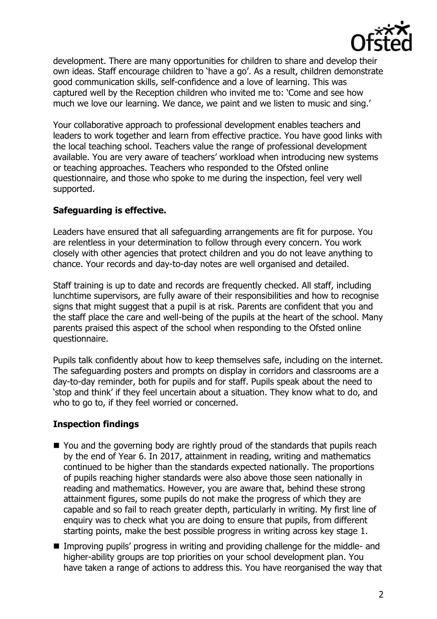

development. There are many opportunities for children to share and develop their own ideas. Staff encourage children to 'have a go'. As a result, children demonstrate good communication skills, self-confidence and a love of learning. This was captured well by the Reception children who invited me to: 'Come and see how much we love our learning. We dance, we paint and we listen to music and sing.'

Your collaborative approach to professional development enables teachers and leaders to work together and learn from effective practice. You have good links with the local teaching school. Teachers value the range of professional development available. You are very aware of teachers' workload when introducing new systems or teaching approaches. Teachers who responded to the Ofsted online questionnaire, and those who spoke to me during the inspection, feel very well supported.

# **Safeguarding is effective.**

Leaders have ensured that all safeguarding arrangements are fit for purpose. You are relentless in your determination to follow through every concern. You work closely with other agencies that protect children and you do not leave anything to chance. Your records and day-to-day notes are well organised and detailed.

Staff training is up to date and records are frequently checked. All staff, including lunchtime supervisors, are fully aware of their responsibilities and how to recognise signs that might suggest that a pupil is at risk. Parents are confident that you and the staff place the care and well-being of the pupils at the heart of the school. Many parents praised this aspect of the school when responding to the Ofsted online questionnaire.

Pupils talk confidently about how to keep themselves safe, including on the internet. The safeguarding posters and prompts on display in corridors and classrooms are a day-to-day reminder, both for pupils and for staff. Pupils speak about the need to 'stop and think' if they feel uncertain about a situation. They know what to do, and who to go to, if they feel worried or concerned.

# **Inspection findings**

- You and the governing body are rightly proud of the standards that pupils reach by the end of Year 6. In 2017, attainment in reading, writing and mathematics continued to be higher than the standards expected nationally. The proportions of pupils reaching higher standards were also above those seen nationally in reading and mathematics. However, you are aware that, behind these strong attainment figures, some pupils do not make the progress of which they are capable and so fail to reach greater depth, particularly in writing. My first line of enquiry was to check what you are doing to ensure that pupils, from different starting points, make the best possible progress in writing across key stage 1.
- Improving pupils' progress in writing and providing challenge for the middle- and higher-ability groups are top priorities on your school development plan. You have taken a range of actions to address this. You have reorganised the way that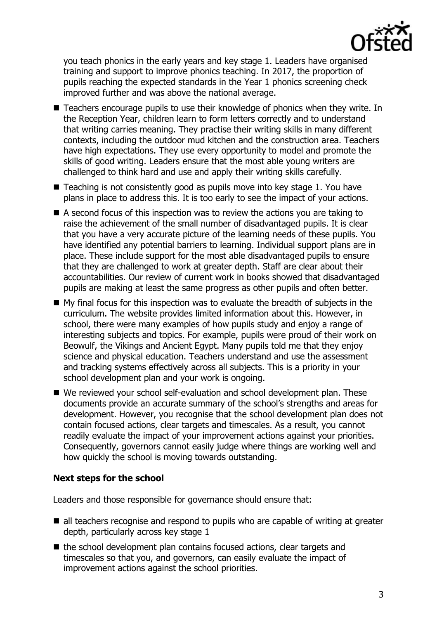

you teach phonics in the early years and key stage 1. Leaders have organised training and support to improve phonics teaching. In 2017, the proportion of pupils reaching the expected standards in the Year 1 phonics screening check improved further and was above the national average.

- Teachers encourage pupils to use their knowledge of phonics when they write. In the Reception Year, children learn to form letters correctly and to understand that writing carries meaning. They practise their writing skills in many different contexts, including the outdoor mud kitchen and the construction area. Teachers have high expectations. They use every opportunity to model and promote the skills of good writing. Leaders ensure that the most able young writers are challenged to think hard and use and apply their writing skills carefully.
- Teaching is not consistently good as pupils move into key stage 1. You have plans in place to address this. It is too early to see the impact of your actions.
- A second focus of this inspection was to review the actions you are taking to raise the achievement of the small number of disadvantaged pupils. It is clear that you have a very accurate picture of the learning needs of these pupils. You have identified any potential barriers to learning. Individual support plans are in place. These include support for the most able disadvantaged pupils to ensure that they are challenged to work at greater depth. Staff are clear about their accountabilities. Our review of current work in books showed that disadvantaged pupils are making at least the same progress as other pupils and often better.
- $\blacksquare$  My final focus for this inspection was to evaluate the breadth of subjects in the curriculum. The website provides limited information about this. However, in school, there were many examples of how pupils study and enjoy a range of interesting subjects and topics. For example, pupils were proud of their work on Beowulf, the Vikings and Ancient Egypt. Many pupils told me that they enjoy science and physical education. Teachers understand and use the assessment and tracking systems effectively across all subjects. This is a priority in your school development plan and your work is ongoing.
- We reviewed your school self-evaluation and school development plan. These documents provide an accurate summary of the school's strengths and areas for development. However, you recognise that the school development plan does not contain focused actions, clear targets and timescales. As a result, you cannot readily evaluate the impact of your improvement actions against your priorities. Consequently, governors cannot easily judge where things are working well and how quickly the school is moving towards outstanding.

## **Next steps for the school**

Leaders and those responsible for governance should ensure that:

- all teachers recognise and respond to pupils who are capable of writing at greater depth, particularly across key stage 1
- $\blacksquare$  the school development plan contains focused actions, clear targets and timescales so that you, and governors, can easily evaluate the impact of improvement actions against the school priorities.